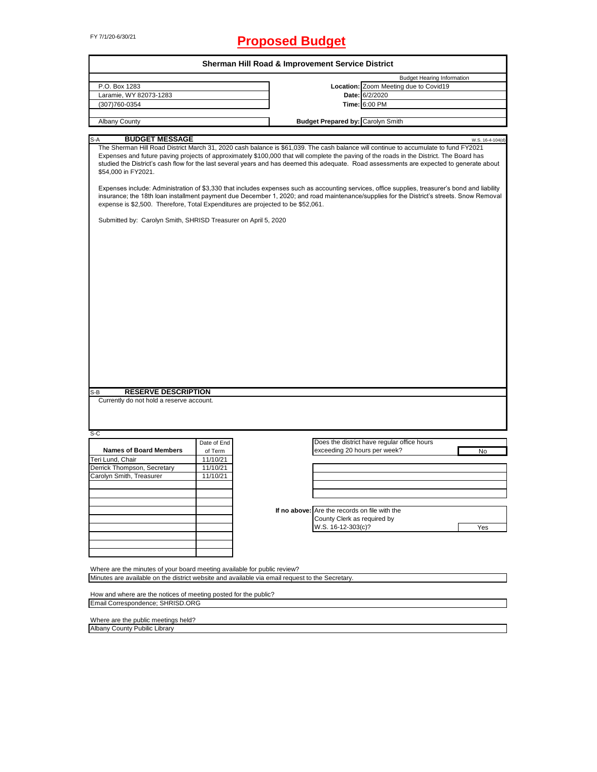# FY 7/1/20-6/30/21 **Proposed Budget**

|                                                                                                                                                                                                                                                                                                                                                                                                                                                                                                                                                                                                                                                                                                                                                                                                                                                                                                          |             | <b>Sherman Hill Road &amp; Improvement Service District</b> |                                             |                                   |
|----------------------------------------------------------------------------------------------------------------------------------------------------------------------------------------------------------------------------------------------------------------------------------------------------------------------------------------------------------------------------------------------------------------------------------------------------------------------------------------------------------------------------------------------------------------------------------------------------------------------------------------------------------------------------------------------------------------------------------------------------------------------------------------------------------------------------------------------------------------------------------------------------------|-------------|-------------------------------------------------------------|---------------------------------------------|-----------------------------------|
|                                                                                                                                                                                                                                                                                                                                                                                                                                                                                                                                                                                                                                                                                                                                                                                                                                                                                                          |             |                                                             |                                             | <b>Budget Hearing Information</b> |
| P.O. Box 1283                                                                                                                                                                                                                                                                                                                                                                                                                                                                                                                                                                                                                                                                                                                                                                                                                                                                                            |             |                                                             | Location: Zoom Meeting due to Covid19       |                                   |
| Laramie, WY 82073-1283                                                                                                                                                                                                                                                                                                                                                                                                                                                                                                                                                                                                                                                                                                                                                                                                                                                                                   |             |                                                             | Date: 6/2/2020                              |                                   |
| (307)760-0354                                                                                                                                                                                                                                                                                                                                                                                                                                                                                                                                                                                                                                                                                                                                                                                                                                                                                            |             |                                                             | Time: 6:00 PM                               |                                   |
| Albany County                                                                                                                                                                                                                                                                                                                                                                                                                                                                                                                                                                                                                                                                                                                                                                                                                                                                                            |             |                                                             | <b>Budget Prepared by: Carolyn Smith</b>    |                                   |
|                                                                                                                                                                                                                                                                                                                                                                                                                                                                                                                                                                                                                                                                                                                                                                                                                                                                                                          |             |                                                             |                                             |                                   |
| <b>BUDGET MESSAGE</b><br>S-A                                                                                                                                                                                                                                                                                                                                                                                                                                                                                                                                                                                                                                                                                                                                                                                                                                                                             |             |                                                             |                                             | W.S. 16-4-104(d)                  |
| The Sherman Hill Road District March 31, 2020 cash balance is \$61,039. The cash balance will continue to accumulate to fund FY2021<br>Expenses and future paving projects of approximately \$100,000 that will complete the paving of the roads in the District. The Board has<br>studied the District's cash flow for the last several years and has deemed this adequate. Road assessments are expected to generate about<br>\$54.000 in FY2021.<br>Expenses include: Administration of \$3,330 that includes expenses such as accounting services, office supplies, treasurer's bond and liability<br>insurance; the 18th loan installment payment due December 1, 2020; and road maintenance/supplies for the District's streets. Snow Removal<br>expense is \$2,500. Therefore, Total Expenditures are projected to be \$52,061.<br>Submitted by: Carolyn Smith, SHRISD Treasurer on April 5, 2020 |             |                                                             |                                             |                                   |
| <b>RESERVE DESCRIPTION</b><br>S-B<br>Currently do not hold a reserve account.                                                                                                                                                                                                                                                                                                                                                                                                                                                                                                                                                                                                                                                                                                                                                                                                                            |             |                                                             |                                             |                                   |
|                                                                                                                                                                                                                                                                                                                                                                                                                                                                                                                                                                                                                                                                                                                                                                                                                                                                                                          |             |                                                             |                                             |                                   |
| S-C                                                                                                                                                                                                                                                                                                                                                                                                                                                                                                                                                                                                                                                                                                                                                                                                                                                                                                      | Date of End |                                                             | Does the district have regular office hours |                                   |
| <b>Names of Board Members</b>                                                                                                                                                                                                                                                                                                                                                                                                                                                                                                                                                                                                                                                                                                                                                                                                                                                                            | of Term     |                                                             | exceeding 20 hours per week?                | No                                |
| Teri Lund, Chair                                                                                                                                                                                                                                                                                                                                                                                                                                                                                                                                                                                                                                                                                                                                                                                                                                                                                         | 11/10/21    |                                                             |                                             |                                   |
| Derrick Thompson, Secretary                                                                                                                                                                                                                                                                                                                                                                                                                                                                                                                                                                                                                                                                                                                                                                                                                                                                              | 11/10/21    |                                                             |                                             |                                   |
| Carolyn Smith, Treasurer                                                                                                                                                                                                                                                                                                                                                                                                                                                                                                                                                                                                                                                                                                                                                                                                                                                                                 | 11/10/21    |                                                             |                                             |                                   |
|                                                                                                                                                                                                                                                                                                                                                                                                                                                                                                                                                                                                                                                                                                                                                                                                                                                                                                          |             |                                                             |                                             |                                   |
|                                                                                                                                                                                                                                                                                                                                                                                                                                                                                                                                                                                                                                                                                                                                                                                                                                                                                                          |             |                                                             |                                             |                                   |
|                                                                                                                                                                                                                                                                                                                                                                                                                                                                                                                                                                                                                                                                                                                                                                                                                                                                                                          |             |                                                             |                                             |                                   |
|                                                                                                                                                                                                                                                                                                                                                                                                                                                                                                                                                                                                                                                                                                                                                                                                                                                                                                          |             | If no above: Are the records on file with the               |                                             |                                   |
|                                                                                                                                                                                                                                                                                                                                                                                                                                                                                                                                                                                                                                                                                                                                                                                                                                                                                                          |             |                                                             | County Clerk as required by                 |                                   |
|                                                                                                                                                                                                                                                                                                                                                                                                                                                                                                                                                                                                                                                                                                                                                                                                                                                                                                          |             |                                                             | W.S. 16-12-303(c)?                          | Yes                               |
|                                                                                                                                                                                                                                                                                                                                                                                                                                                                                                                                                                                                                                                                                                                                                                                                                                                                                                          |             |                                                             |                                             |                                   |
|                                                                                                                                                                                                                                                                                                                                                                                                                                                                                                                                                                                                                                                                                                                                                                                                                                                                                                          |             |                                                             |                                             |                                   |
|                                                                                                                                                                                                                                                                                                                                                                                                                                                                                                                                                                                                                                                                                                                                                                                                                                                                                                          |             |                                                             |                                             |                                   |
|                                                                                                                                                                                                                                                                                                                                                                                                                                                                                                                                                                                                                                                                                                                                                                                                                                                                                                          |             |                                                             |                                             |                                   |
| Where are the minutes of your board meeting available for public review?                                                                                                                                                                                                                                                                                                                                                                                                                                                                                                                                                                                                                                                                                                                                                                                                                                 |             |                                                             |                                             |                                   |
| Minutes are available on the district website and available via email request to the Secretary.                                                                                                                                                                                                                                                                                                                                                                                                                                                                                                                                                                                                                                                                                                                                                                                                          |             |                                                             |                                             |                                   |
|                                                                                                                                                                                                                                                                                                                                                                                                                                                                                                                                                                                                                                                                                                                                                                                                                                                                                                          |             |                                                             |                                             |                                   |
| How and where are the notices of meeting posted for the public?<br>Email Correspondence: SHRISD.ORG                                                                                                                                                                                                                                                                                                                                                                                                                                                                                                                                                                                                                                                                                                                                                                                                      |             |                                                             |                                             |                                   |

Email Correspondence; SHRISD.ORG

Where are the public meetings held?

Albany County Pubilic Library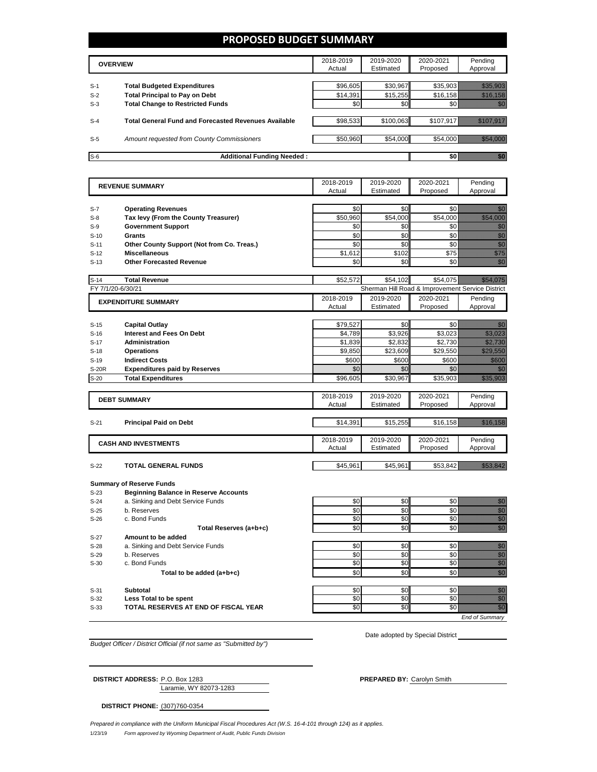### **PROPOSED BUDGET SUMMARY**

|       | <b>OVERVIEW</b>                                             | 2018-2019<br>Actual | 2019-2020<br>Estimated | 2020-2021<br>Proposed | Pending<br>Approval |
|-------|-------------------------------------------------------------|---------------------|------------------------|-----------------------|---------------------|
| $S-1$ | <b>Total Budgeted Expenditures</b>                          | \$96,605            | \$30.967               | \$35.903              |                     |
| $S-2$ | <b>Total Principal to Pay on Debt</b>                       | \$14.391            | \$15,255               | \$16,158              |                     |
| $S-3$ | <b>Total Change to Restricted Funds</b>                     | \$0                 | \$0                    |                       |                     |
|       |                                                             |                     |                        |                       |                     |
| $S-4$ | <b>Total General Fund and Forecasted Revenues Available</b> | \$98,533            | \$100,063              | \$107,917             |                     |
|       |                                                             |                     |                        |                       |                     |
| $S-5$ | Amount requested from County Commissioners                  | \$50,960            | \$54,000               | \$54,000              |                     |
| $S-6$ | <b>Additional Funding Needed:</b>                           |                     |                        |                       |                     |

| <b>REVENUE SUMMARY</b> |                                              | 2018-2019 | 2019-2020 | 2020-2021                                        | Pending                                                                                                                                                                                                                                                                                                                                                                                                                                                                                |
|------------------------|----------------------------------------------|-----------|-----------|--------------------------------------------------|----------------------------------------------------------------------------------------------------------------------------------------------------------------------------------------------------------------------------------------------------------------------------------------------------------------------------------------------------------------------------------------------------------------------------------------------------------------------------------------|
|                        |                                              | Actual    | Estimated | Proposed                                         | Approval                                                                                                                                                                                                                                                                                                                                                                                                                                                                               |
|                        |                                              |           |           |                                                  |                                                                                                                                                                                                                                                                                                                                                                                                                                                                                        |
| $S-7$                  | <b>Operating Revenues</b>                    | \$0       | \$0       | \$0                                              | en 1999.<br>Volks                                                                                                                                                                                                                                                                                                                                                                                                                                                                      |
| $S-8$                  | Tax levy (From the County Treasurer)         | \$50,960  | \$54,000  | \$54,000                                         | <u>tionalisti k</u>                                                                                                                                                                                                                                                                                                                                                                                                                                                                    |
| $S-9$                  | <b>Government Support</b>                    | \$0       | \$0       | \$0                                              | en de la familie de la familie de la familie de la familie de la familie de la familie de la familie de la fa<br>Concelho de la familie de la familie de la familie de la familie de la familie de la familie de la familie de                                                                                                                                                                                                                                                         |
| $S-10$                 | Grants                                       | \$0       | \$0       | \$0                                              | en film<br>Miller<br>Miller                                                                                                                                                                                                                                                                                                                                                                                                                                                            |
| $S-11$                 | Other County Support (Not from Co. Treas.)   | \$0       | \$0       | \$0                                              | en første starte for de for de for de for de for de for de for de for de for de for de for de for de for de fo<br>En del for de former de former de former de former de former de former de former de former de for de former d                                                                                                                                                                                                                                                        |
| $S-12$                 | <b>Miscellaneous</b>                         | \$1,612   | \$102     | \$75                                             | ennia<br>Maria                                                                                                                                                                                                                                                                                                                                                                                                                                                                         |
| $S-13$                 | <b>Other Forecasted Revenue</b>              | \$0       | \$0       | \$0                                              | en de la filòlogía<br>Talia                                                                                                                                                                                                                                                                                                                                                                                                                                                            |
|                        |                                              |           |           |                                                  |                                                                                                                                                                                                                                                                                                                                                                                                                                                                                        |
| $S-14$                 | <b>Total Revenue</b>                         | \$52,572  | \$54.102  | \$54.075                                         | <u> Timor Santa Barat dan Ba</u>                                                                                                                                                                                                                                                                                                                                                                                                                                                       |
|                        | FY 7/1/20-6/30/21                            |           |           | Sherman Hill Road & Improvement Service District |                                                                                                                                                                                                                                                                                                                                                                                                                                                                                        |
|                        | <b>EXPENDITURE SUMMARY</b>                   | 2018-2019 | 2019-2020 | 2020-2021                                        | Pending                                                                                                                                                                                                                                                                                                                                                                                                                                                                                |
|                        |                                              | Actual    | Estimated | Proposed                                         | Approval                                                                                                                                                                                                                                                                                                                                                                                                                                                                               |
|                        |                                              |           |           |                                                  |                                                                                                                                                                                                                                                                                                                                                                                                                                                                                        |
| $S-15$                 | <b>Capital Outlay</b>                        | \$79,527  | \$0       | \$0                                              | 199                                                                                                                                                                                                                                                                                                                                                                                                                                                                                    |
| $S-16$                 | <b>Interest and Fees On Debt</b>             | \$4,789   | \$3,926   | \$3,023                                          | <u>tik ka</u>                                                                                                                                                                                                                                                                                                                                                                                                                                                                          |
| $S-17$                 | <b>Administration</b>                        | \$1,839   | \$2.832   | \$2,730                                          | <u>Million S</u>                                                                                                                                                                                                                                                                                                                                                                                                                                                                       |
| $S-18$                 | <b>Operations</b>                            | \$9,850   | \$23,609  | \$29,550                                         | <b>Maritim</b>                                                                                                                                                                                                                                                                                                                                                                                                                                                                         |
| $S-19$                 | <b>Indirect Costs</b>                        | \$600     | \$600     | \$600                                            | <u> Mille S</u>                                                                                                                                                                                                                                                                                                                                                                                                                                                                        |
| <b>S-20R</b>           | <b>Expenditures paid by Reserves</b>         | \$0       | \$0       | \$0                                              | an dhe                                                                                                                                                                                                                                                                                                                                                                                                                                                                                 |
| $S-20$                 | <b>Total Expenditures</b>                    | \$96,605  | \$30.967  | \$35,903                                         | <u> Hillian Sta</u>                                                                                                                                                                                                                                                                                                                                                                                                                                                                    |
|                        |                                              |           |           |                                                  |                                                                                                                                                                                                                                                                                                                                                                                                                                                                                        |
|                        | <b>DEBT SUMMARY</b>                          | 2018-2019 | 2019-2020 | 2020-2021                                        | Pending                                                                                                                                                                                                                                                                                                                                                                                                                                                                                |
|                        |                                              | Actual    | Estimated | Proposed                                         | Approval                                                                                                                                                                                                                                                                                                                                                                                                                                                                               |
|                        |                                              |           |           |                                                  |                                                                                                                                                                                                                                                                                                                                                                                                                                                                                        |
| $S-21$                 | <b>Principal Paid on Debt</b>                | \$14,391  | \$15,255  | \$16,158                                         | <u> Mariji (</u>                                                                                                                                                                                                                                                                                                                                                                                                                                                                       |
|                        |                                              |           |           |                                                  |                                                                                                                                                                                                                                                                                                                                                                                                                                                                                        |
|                        | <b>CASH AND INVESTMENTS</b>                  | 2018-2019 | 2019-2020 | 2020-2021                                        | Pending                                                                                                                                                                                                                                                                                                                                                                                                                                                                                |
|                        |                                              | Actual    | Estimated | Proposed                                         | Approval                                                                                                                                                                                                                                                                                                                                                                                                                                                                               |
|                        |                                              |           |           |                                                  |                                                                                                                                                                                                                                                                                                                                                                                                                                                                                        |
| $S-22$                 | TOTAL GENERAL FUNDS                          | \$45,961  | \$45,961  | \$53,842                                         | <u> Timber d</u>                                                                                                                                                                                                                                                                                                                                                                                                                                                                       |
|                        |                                              |           |           |                                                  |                                                                                                                                                                                                                                                                                                                                                                                                                                                                                        |
|                        | <b>Summary of Reserve Funds</b>              |           |           |                                                  |                                                                                                                                                                                                                                                                                                                                                                                                                                                                                        |
| $S-23$                 | <b>Beginning Balance in Reserve Accounts</b> |           |           |                                                  |                                                                                                                                                                                                                                                                                                                                                                                                                                                                                        |
| $S-24$                 | a. Sinking and Debt Service Funds            | \$0       | \$0       | \$0                                              | en de la familie de la familie de la familie de la familie de la familie de la familie de la familie de la fa<br>Constitution de la familie de la familie de la familie de la familie de la familie de la familie de la familie                                                                                                                                                                                                                                                        |
| $S-25$                 | b. Reserves                                  | \$0       | \$0       | \$0                                              | e de la composición de la composición de la composición de la composición de la composición de la composición<br>Campo de la composición de la composición de la composición de la composición de la composición de la composic                                                                                                                                                                                                                                                        |
|                        |                                              | \$0       | \$0       | \$0                                              |                                                                                                                                                                                                                                                                                                                                                                                                                                                                                        |
| $S-26$                 | c. Bond Funds                                |           |           |                                                  |                                                                                                                                                                                                                                                                                                                                                                                                                                                                                        |
|                        | Total Reserves (a+b+c)                       | \$0       | \$0       | \$0                                              |                                                                                                                                                                                                                                                                                                                                                                                                                                                                                        |
| $S-27$                 | Amount to be added                           |           |           |                                                  |                                                                                                                                                                                                                                                                                                                                                                                                                                                                                        |
| $S-28$                 | a. Sinking and Debt Service Funds            | \$0       | \$0       | \$0                                              |                                                                                                                                                                                                                                                                                                                                                                                                                                                                                        |
| $S-29$                 | b. Reserves                                  | \$0       | \$0       | \$0                                              |                                                                                                                                                                                                                                                                                                                                                                                                                                                                                        |
| $S-30$                 | c. Bond Funds                                | \$0       | \$0       | \$0                                              |                                                                                                                                                                                                                                                                                                                                                                                                                                                                                        |
|                        | Total to be added (a+b+c)                    | \$0       | \$0       | \$0                                              |                                                                                                                                                                                                                                                                                                                                                                                                                                                                                        |
|                        |                                              |           |           |                                                  |                                                                                                                                                                                                                                                                                                                                                                                                                                                                                        |
| $S-31$                 | <b>Subtotal</b>                              | \$0       | \$0       | \$0                                              |                                                                                                                                                                                                                                                                                                                                                                                                                                                                                        |
| $S-32$                 | Less Total to be spent                       | \$0       | \$0       | \$0                                              | en de la familie de la familie de la familie de la familie de la familie de la familie de la familie de la fa<br>Geografia<br>en de la familie de la familie de la familie de la familie de la familie de la familie de la familie de la fam<br>Constituit de la familie de la familie de la familie de la familie de la familie de la familie de la familie d<br>nan<br>Milita<br>en<br>Geografia                                                                                     |
| $S-33$                 | TOTAL RESERVES AT END OF FISCAL YEAR         | \$0       | SO        | \$0                                              | enne<br>Gallia<br>en de la population de la population de la population de la population de la population de la population de la<br>Comme de la population de la population de la population de la population de la population de la population de<br>en de la falsa de la falsa de la falsa de la falsa de la falsa de la falsa de la falsa de la falsa de la falsa<br>El falsa de la falsa de la falsa de la falsa de la falsa de la falsa de la falsa de la falsa de la falsa de la |

*Budget Officer / District Official (if not same as "Submitted by")*

Laramie, WY 82073-1283 **DISTRICT ADDRESS:** P.O. Box 1283 **PREPARED BY:** Carolyn Smith

Date adopted by Special District

**DISTRICT PHONE:** (307)760-0354

1/23/19 *Form approved by Wyoming Department of Audit, Public Funds Division Prepared in compliance with the Uniform Municipal Fiscal Procedures Act (W.S. 16-4-101 through 124) as it applies.*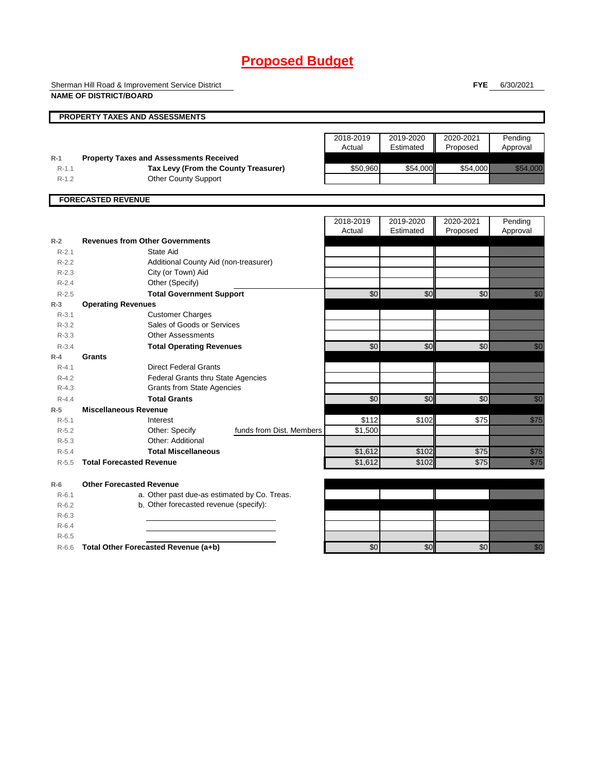# **Proposed Budget**

Sherman Hill Road & Improvement Service District

**FYE** 6/30/2021

|                    | <b>NAME OF DISTRICT/BOARD</b>                        |                          |                     |                        |                       |                                                                                                                                                                                                                                  |
|--------------------|------------------------------------------------------|--------------------------|---------------------|------------------------|-----------------------|----------------------------------------------------------------------------------------------------------------------------------------------------------------------------------------------------------------------------------|
|                    | PROPERTY TAXES AND ASSESSMENTS                       |                          |                     |                        |                       |                                                                                                                                                                                                                                  |
|                    |                                                      |                          | 2018-2019<br>Actual | 2019-2020<br>Estimated | 2020-2021<br>Proposed | Pending<br>Approval                                                                                                                                                                                                              |
| $R-1$              | <b>Property Taxes and Assessments Received</b>       |                          |                     |                        |                       |                                                                                                                                                                                                                                  |
| $R-1.1$            | Tax Levy (From the County Treasurer)                 |                          | \$50,960            | \$54,000               | \$54,000              | <u>tin allan</u>                                                                                                                                                                                                                 |
| $R-1.2$            | <b>Other County Support</b>                          |                          |                     |                        |                       |                                                                                                                                                                                                                                  |
|                    | <b>FORECASTED REVENUE</b>                            |                          |                     |                        |                       |                                                                                                                                                                                                                                  |
|                    |                                                      |                          | 2018-2019           | 2019-2020              | 2020-2021             | Pending                                                                                                                                                                                                                          |
|                    |                                                      |                          | Actual              | Estimated              | Proposed              | Approval                                                                                                                                                                                                                         |
| $R-2$              | <b>Revenues from Other Governments</b>               |                          |                     |                        |                       |                                                                                                                                                                                                                                  |
| $R - 2.1$          | State Aid                                            |                          |                     |                        |                       |                                                                                                                                                                                                                                  |
| $R-2.2$            | Additional County Aid (non-treasurer)                |                          |                     |                        |                       |                                                                                                                                                                                                                                  |
| $R-2.3$            | City (or Town) Aid                                   |                          |                     |                        |                       |                                                                                                                                                                                                                                  |
| $R - 2.4$          | Other (Specify)                                      |                          |                     |                        |                       |                                                                                                                                                                                                                                  |
| $R - 2.5$          | <b>Total Government Support</b>                      |                          | $\sqrt{6}$          | \$0                    | \$0                   | en de la familie de la familie de la familie de la familie de la familie de la familie de la familie de la fa<br>Constitution de la familie de la familie de la familie de la familie de la familie de la familie de la familie  |
| $R-3$<br>$R - 3.1$ | <b>Operating Revenues</b><br><b>Customer Charges</b> |                          |                     |                        |                       |                                                                                                                                                                                                                                  |
| $R - 3.2$          | Sales of Goods or Services                           |                          |                     |                        |                       |                                                                                                                                                                                                                                  |
| $R - 3.3$          | <b>Other Assessments</b>                             |                          |                     |                        |                       |                                                                                                                                                                                                                                  |
| $R - 3.4$          | <b>Total Operating Revenues</b>                      |                          | $\overline{30}$     | \$0                    | \$0                   | en de la falsa<br>Maria de la falsa de la falsa de la falsa de la falsa de la falsa de la falsa de la falsa de la                                                                                                                |
| $R-4$              | <b>Grants</b>                                        |                          |                     |                        |                       |                                                                                                                                                                                                                                  |
| $R - 4.1$          | <b>Direct Federal Grants</b>                         |                          |                     |                        |                       |                                                                                                                                                                                                                                  |
| $R - 4.2$          | Federal Grants thru State Agencies                   |                          |                     |                        |                       |                                                                                                                                                                                                                                  |
| $R - 4.3$          | <b>Grants from State Agencies</b>                    |                          |                     |                        |                       |                                                                                                                                                                                                                                  |
| $R - 4.4$          | <b>Total Grants</b>                                  |                          | \$0                 | \$0                    | \$0                   | en de la familie de la familie de la familie de la familie de la familie de la familie de la familie de la fa<br>Constituit de la familie de la familie de la familie de la familie de la familie de la familie de la familie d  |
| $R-5$              | <b>Miscellaneous Revenue</b>                         |                          |                     |                        |                       |                                                                                                                                                                                                                                  |
| $R - 5.1$          | Interest                                             |                          | \$112               | \$102                  | \$75                  | <u>film</u>                                                                                                                                                                                                                      |
| $R - 5.2$          | Other: Specify                                       | funds from Dist. Members | \$1,500             |                        |                       |                                                                                                                                                                                                                                  |
| $R - 5.3$          | Other: Additional                                    |                          |                     |                        |                       |                                                                                                                                                                                                                                  |
| $R-5.4$            | <b>Total Miscellaneous</b>                           |                          | \$1,612             | \$102                  | \$75                  | en de la familie de la familie de la familie de la familie de la familie de la familie de la familie de la fam<br>De la familie de la familie de la familie de la familie de la familie de la familie de la familie de la famili |
| $R - 5.5$          | <b>Total Forecasted Revenue</b>                      |                          | \$1,612             | \$102                  | $\overline{$75}$      | en de la familie de la familie de la familie de la familie de la familie de la familie de la familie de la fa<br>Estatubat de la familie de la familie de la familie de la familie de la familie de la familie de la familie d   |
| $R-6$              | <b>Other Forecasted Revenue</b>                      |                          |                     |                        |                       |                                                                                                                                                                                                                                  |
| $R-6.1$            | a. Other past due-as estimated by Co. Treas.         |                          |                     |                        |                       |                                                                                                                                                                                                                                  |
| $R-6.2$            | b. Other forecasted revenue (specify):               |                          |                     |                        |                       |                                                                                                                                                                                                                                  |
| $R-6.3$            |                                                      |                          |                     |                        |                       |                                                                                                                                                                                                                                  |
| $R-6.4$            |                                                      |                          |                     |                        |                       |                                                                                                                                                                                                                                  |
| $R-6.5$            |                                                      |                          |                     |                        |                       |                                                                                                                                                                                                                                  |
| $R-6.6$            | Total Other Forecasted Revenue (a+b)                 |                          | \$0                 | \$0                    | $\sqrt{6}$            | <u> Kill</u>                                                                                                                                                                                                                     |
|                    |                                                      |                          |                     |                        |                       |                                                                                                                                                                                                                                  |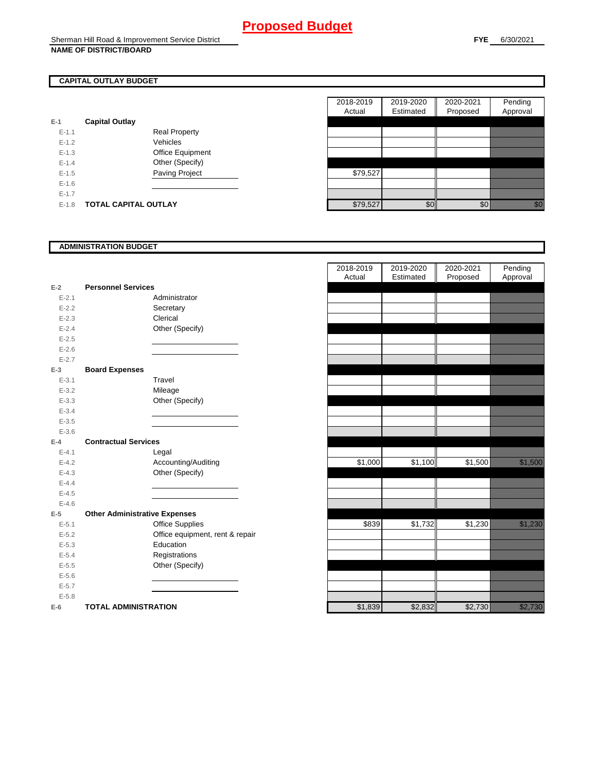## **CAPITAL OUTLAY BUDGET**

|           |                             |                       | .        |
|-----------|-----------------------------|-----------------------|----------|
| $E-1$     | <b>Capital Outlay</b>       |                       |          |
| $E - 1.1$ |                             | <b>Real Property</b>  |          |
| $E - 1.2$ |                             | Vehicles              |          |
| $E-1.3$   |                             | Office Equipment      |          |
| $E - 1.4$ |                             | Other (Specify)       |          |
| $E-1.5$   |                             | <b>Paving Project</b> | \$79,527 |
| $E - 1.6$ |                             |                       |          |
| $E-1.7$   |                             |                       |          |
| $E-1.8$   | <b>TOTAL CAPITAL OUTLAY</b> |                       | \$79.527 |

|           |                             |                      | 2018-2019 | 2019-2020 | 2020-2021       | Pending                                                                                                                                                                                                                        |
|-----------|-----------------------------|----------------------|-----------|-----------|-----------------|--------------------------------------------------------------------------------------------------------------------------------------------------------------------------------------------------------------------------------|
|           |                             |                      | Actual    | Estimated | Proposed        | Approval                                                                                                                                                                                                                       |
|           | <b>Capital Outlay</b>       |                      |           |           |                 |                                                                                                                                                                                                                                |
| $E-1.1$   |                             | <b>Real Property</b> |           |           |                 |                                                                                                                                                                                                                                |
| $E-1.2$   |                             | Vehicles             |           |           |                 |                                                                                                                                                                                                                                |
| $E-1.3$   |                             | Office Equipment     |           |           |                 |                                                                                                                                                                                                                                |
| $E - 1.4$ |                             | Other (Specify)      |           |           |                 |                                                                                                                                                                                                                                |
| $E-1.5$   |                             | Paving Project       | \$79,527  |           |                 |                                                                                                                                                                                                                                |
| $E-1.6$   |                             |                      |           |           |                 |                                                                                                                                                                                                                                |
| $E - 1.7$ |                             |                      |           |           |                 |                                                                                                                                                                                                                                |
| $E-1.8$   | <b>TOTAL CAPITAL OUTLAY</b> |                      | \$79,527  | \$0       | 30 <sub>l</sub> | en de la familie de la familie de la familie de la familie de la familie de la familie de la familie de la fa<br>Concelho de la familie de la familie de la familie de la familie de la familie de la familie de la familie de |

### **ADMINISTRATION BUDGET**

| $E-2$     | <b>Personnel Services</b>            |  |
|-----------|--------------------------------------|--|
| $E - 2.1$ | Administrator                        |  |
| $E - 2.2$ | Secretary                            |  |
| $E - 2.3$ | Clerical                             |  |
| $E-2.4$   | Other (Specify)                      |  |
| $E - 2.5$ |                                      |  |
| $E - 2.6$ |                                      |  |
| $E - 2.7$ |                                      |  |
| $E-3$     | <b>Board Expenses</b>                |  |
| $E - 3.1$ | Travel                               |  |
| $E - 3.2$ | Mileage                              |  |
| $E - 3.3$ | Other (Specify)                      |  |
| $E - 3.4$ |                                      |  |
| $E - 3.5$ |                                      |  |
| $E - 3.6$ |                                      |  |
| $E-4$     | <b>Contractual Services</b>          |  |
| $E - 4.1$ | Legal                                |  |
| $E - 4.2$ | Accounting/Auditing                  |  |
| $E - 4.3$ | Other (Specify)                      |  |
| $E - 4.4$ |                                      |  |
| $E - 4.5$ |                                      |  |
| $E - 4.6$ |                                      |  |
| $E-5$     | <b>Other Administrative Expenses</b> |  |
| $E - 5.1$ | <b>Office Supplies</b>               |  |
| $E - 5.2$ | Office equipment, rent & repair      |  |
| $E - 5.3$ | Education                            |  |
| $E - 5.4$ | Registrations                        |  |
| $E - 5.5$ | Other (Specify)                      |  |
| $E - 5.6$ |                                      |  |
| $E - 5.7$ |                                      |  |
| $E - 5.8$ |                                      |  |
| $E-6$     | <b>TOTAL ADMINISTRATION</b>          |  |

|                          |                                      |                                 | 2018-2019<br>Actual | 2019-2020<br>Estimated | 2020-2021<br>Proposed | Pending<br>Approval                                                                                                                                                                                                              |
|--------------------------|--------------------------------------|---------------------------------|---------------------|------------------------|-----------------------|----------------------------------------------------------------------------------------------------------------------------------------------------------------------------------------------------------------------------------|
| $\overline{\mathbf{r}}$  | <b>Personnel Services</b>            |                                 |                     |                        |                       |                                                                                                                                                                                                                                  |
| $E - 2.1$                | Administrator                        |                                 |                     |                        |                       |                                                                                                                                                                                                                                  |
| $E - 2.2$                | Secretary                            |                                 |                     |                        |                       |                                                                                                                                                                                                                                  |
| $E - 2.3$                | Clerical                             |                                 |                     |                        |                       |                                                                                                                                                                                                                                  |
| $E - 2.4$                | Other (Specify)                      |                                 |                     |                        |                       |                                                                                                                                                                                                                                  |
| $E - 2.5$                |                                      |                                 |                     |                        |                       |                                                                                                                                                                                                                                  |
| $E - 2.6$                |                                      |                                 |                     |                        |                       |                                                                                                                                                                                                                                  |
| $E - 2.7$                |                                      |                                 |                     |                        |                       |                                                                                                                                                                                                                                  |
| $\overline{\phantom{a}}$ | <b>Board Expenses</b>                |                                 |                     |                        |                       |                                                                                                                                                                                                                                  |
| $E - 3.1$                | Travel                               |                                 |                     |                        |                       |                                                                                                                                                                                                                                  |
| $E - 3.2$                | Mileage                              |                                 |                     |                        |                       |                                                                                                                                                                                                                                  |
| $E - 3.3$                | Other (Specify)                      |                                 |                     |                        |                       |                                                                                                                                                                                                                                  |
| $E - 3.4$                |                                      |                                 |                     |                        |                       |                                                                                                                                                                                                                                  |
| $E - 3.5$                |                                      |                                 |                     |                        |                       |                                                                                                                                                                                                                                  |
| $E - 3.6$                |                                      |                                 |                     |                        |                       |                                                                                                                                                                                                                                  |
| ı.                       | <b>Contractual Services</b>          |                                 |                     |                        |                       |                                                                                                                                                                                                                                  |
| $E - 4.1$                | Legal                                |                                 |                     |                        |                       |                                                                                                                                                                                                                                  |
| $E - 4.2$                | Accounting/Auditing                  |                                 | \$1,000             | \$1,100                | \$1,500               | <u> Karlin Sara</u>                                                                                                                                                                                                              |
| $E - 4.3$                | Other (Specify)                      |                                 |                     |                        |                       |                                                                                                                                                                                                                                  |
| $E - 4.4$                |                                      |                                 |                     |                        |                       |                                                                                                                                                                                                                                  |
| $E - 4.5$                |                                      |                                 |                     |                        |                       |                                                                                                                                                                                                                                  |
| $E - 4.6$                |                                      |                                 |                     |                        |                       |                                                                                                                                                                                                                                  |
| $\overline{\phantom{a}}$ | <b>Other Administrative Expenses</b> |                                 |                     |                        |                       |                                                                                                                                                                                                                                  |
| $E - 5.1$                | Office Supplies                      |                                 | \$839               | \$1,732                | \$1,230               | en en de forme de la forma de la forma de la forma de la forma de la forma de la forma de la forma de la forma<br>En la forma de la forma de la forma de la forma de la forma de la forma de la forma de la forma de la forma de |
| $E - 5.2$                |                                      | Office equipment, rent & repair |                     |                        |                       |                                                                                                                                                                                                                                  |
| $E - 5.3$                | Education                            |                                 |                     |                        |                       |                                                                                                                                                                                                                                  |
| $E - 5.4$                | Registrations                        |                                 |                     |                        |                       |                                                                                                                                                                                                                                  |
| $E - 5.5$                | Other (Specify)                      |                                 |                     |                        |                       |                                                                                                                                                                                                                                  |
| $E - 5.6$                |                                      |                                 |                     |                        |                       |                                                                                                                                                                                                                                  |
| $E - 5.7$                |                                      |                                 |                     |                        |                       |                                                                                                                                                                                                                                  |
| $E - 5.8$                |                                      |                                 |                     |                        |                       |                                                                                                                                                                                                                                  |
| ż                        | <b>TOTAL ADMINISTRATION</b>          |                                 | \$1,839             | \$2,832                | \$2,730               | <u>i karatifula k</u>                                                                                                                                                                                                            |
|                          |                                      |                                 |                     |                        |                       |                                                                                                                                                                                                                                  |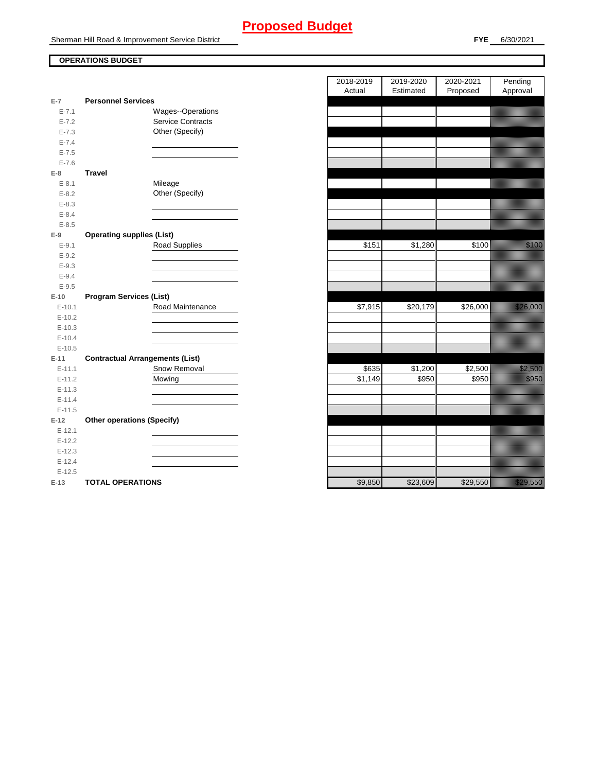# **Proposed Budget**

Sherman Hill Road & Improvement Service District

## **OPERATIONS BUDGET**

| $E-7$              | <b>Personnel Services</b>              |                   |
|--------------------|----------------------------------------|-------------------|
| $E - 7.1$          |                                        | Wages--Operations |
| $E - 7.2$          | <b>Service Contracts</b>               |                   |
| $E - 7.3$          | Other (Specify)                        |                   |
| $E - 7.4$          |                                        |                   |
| $E - 7.5$          |                                        |                   |
| $E - 7.6$          |                                        |                   |
| $E-8$              | <b>Travel</b>                          |                   |
| $E - 8.1$          | Mileage                                |                   |
| $E - 8.2$          | Other (Specify)                        |                   |
| $E - 8.3$          |                                        |                   |
| $E - 8.4$          |                                        |                   |
| $E - 8.5$          |                                        |                   |
| E-9                | <b>Operating supplies (List)</b>       |                   |
| $E - 9.1$          | <b>Road Supplies</b>                   |                   |
| $E - 9.2$          |                                        |                   |
| $E - 9.3$          |                                        |                   |
| $E - 9.4$          |                                        |                   |
| $E - 9.5$          |                                        |                   |
| $E-10$             | <b>Program Services (List)</b>         |                   |
|                    |                                        |                   |
|                    |                                        |                   |
| $E - 10.1$         | Road Maintenance                       |                   |
| $E-10.2$           |                                        |                   |
| $E-10.3$           |                                        |                   |
| $E-10.4$           |                                        |                   |
| $E-10.5$           |                                        |                   |
| $E-11$             | <b>Contractual Arrangements (List)</b> |                   |
| $E-11.1$           | Snow Removal                           |                   |
| $E-11.2$           | Mowing                                 |                   |
| $E-11.3$           |                                        |                   |
| $E-11.4$           |                                        |                   |
| $E-11.5$           |                                        |                   |
| $E-12$             | <b>Other operations (Specify)</b>      |                   |
| $E-12.1$           |                                        |                   |
| $E-12.2$           |                                        |                   |
| $E-12.3$           |                                        |                   |
| $E-12.4$           |                                        |                   |
| $E-12.5$<br>$E-13$ | <b>TOTAL OPERATIONS</b>                |                   |

|                |                                        | 2018-2019<br>Actual  | 2019-2020<br>Estimated | 2020-2021<br>Proposed | Pending<br>Approval                                                                                                                                                                                                                    |
|----------------|----------------------------------------|----------------------|------------------------|-----------------------|----------------------------------------------------------------------------------------------------------------------------------------------------------------------------------------------------------------------------------------|
| $\overline{7}$ | <b>Personnel Services</b>              |                      |                        |                       |                                                                                                                                                                                                                                        |
| $E - 7.1$      | Wages--Operations                      |                      |                        |                       |                                                                                                                                                                                                                                        |
| $E - 7.2$      | <b>Service Contracts</b>               |                      |                        |                       |                                                                                                                                                                                                                                        |
| $E - 7.3$      | Other (Specify)                        |                      |                        |                       |                                                                                                                                                                                                                                        |
| $E - 7.4$      |                                        |                      |                        |                       |                                                                                                                                                                                                                                        |
| $E - 7.5$      |                                        |                      |                        |                       |                                                                                                                                                                                                                                        |
| $E - 7.6$      |                                        |                      |                        |                       |                                                                                                                                                                                                                                        |
| 8              | <b>Travel</b>                          |                      |                        |                       |                                                                                                                                                                                                                                        |
| $E - 8.1$      | Mileage                                |                      |                        |                       |                                                                                                                                                                                                                                        |
| $E - 8.2$      | Other (Specify)                        |                      |                        |                       |                                                                                                                                                                                                                                        |
| $E - 8.3$      |                                        |                      |                        |                       |                                                                                                                                                                                                                                        |
| $E - 8.4$      |                                        |                      |                        |                       |                                                                                                                                                                                                                                        |
| $E - 8.5$      |                                        |                      |                        |                       |                                                                                                                                                                                                                                        |
| 9              | <b>Operating supplies (List)</b>       |                      |                        |                       |                                                                                                                                                                                                                                        |
| $E-9.1$        | <b>Road Supplies</b>                   | \$151                | \$1,280                | \$100                 | <u>tions and the second second in the second second in the second second in the second second in the second second in the second second in the second second second in the second second second second second second second seco</u>   |
| $E - 9.2$      |                                        |                      |                        |                       |                                                                                                                                                                                                                                        |
| $E - 9.3$      |                                        |                      |                        |                       |                                                                                                                                                                                                                                        |
| $E - 9.4$      |                                        |                      |                        |                       |                                                                                                                                                                                                                                        |
| $E-9.5$        |                                        |                      |                        |                       |                                                                                                                                                                                                                                        |
| 10             | <b>Program Services (List)</b>         |                      |                        |                       |                                                                                                                                                                                                                                        |
| $E-10.1$       | Road Maintenance                       | \$7,915              | \$20,179               | \$26,000              | <u> Maria Barat da Barat da Barat da Barat da Barat da Barat da Barat da Barat da Barat da Barat da Barat da Bar</u>                                                                                                                   |
| $E-10.2$       |                                        |                      |                        |                       |                                                                                                                                                                                                                                        |
| $E-10.3$       |                                        |                      |                        |                       |                                                                                                                                                                                                                                        |
| $E - 10.4$     |                                        |                      |                        |                       |                                                                                                                                                                                                                                        |
| $E-10.5$       |                                        |                      |                        |                       |                                                                                                                                                                                                                                        |
| $-11$          | <b>Contractual Arrangements (List)</b> |                      |                        |                       |                                                                                                                                                                                                                                        |
| $E-11.1$       | Snow Removal                           | \$635                | \$1,200                | \$2,500               | <u>tionalist parallel</u>                                                                                                                                                                                                              |
| $E-11.2$       | Mowing                                 | $\overline{\$1,149}$ | \$950                  | \$950                 | <u>ti ka</u>                                                                                                                                                                                                                           |
| $E-11.3$       |                                        |                      |                        |                       |                                                                                                                                                                                                                                        |
| $E-11.4$       |                                        |                      |                        |                       |                                                                                                                                                                                                                                        |
| $E-11.5$       |                                        |                      |                        |                       |                                                                                                                                                                                                                                        |
| 12             | <b>Other operations (Specify)</b>      |                      |                        |                       |                                                                                                                                                                                                                                        |
| $E-12.1$       |                                        |                      |                        |                       |                                                                                                                                                                                                                                        |
| $E-12.2$       |                                        |                      |                        |                       |                                                                                                                                                                                                                                        |
| $E-12.3$       |                                        |                      |                        |                       |                                                                                                                                                                                                                                        |
| $E-12.4$       |                                        |                      |                        |                       |                                                                                                                                                                                                                                        |
| $E-12.5$       |                                        |                      |                        |                       |                                                                                                                                                                                                                                        |
| $-13$          | <b>TOTAL OPERATIONS</b>                | \$9.850              | \$23.609               | \$29.550              | <u>ti ka ka</u> katika katika katika katika katika katika katika katika katika katika katika katika ali daga katika<br>Katika katika katika katika katika katika katika katika katika katika katika katika katika katika katika katika |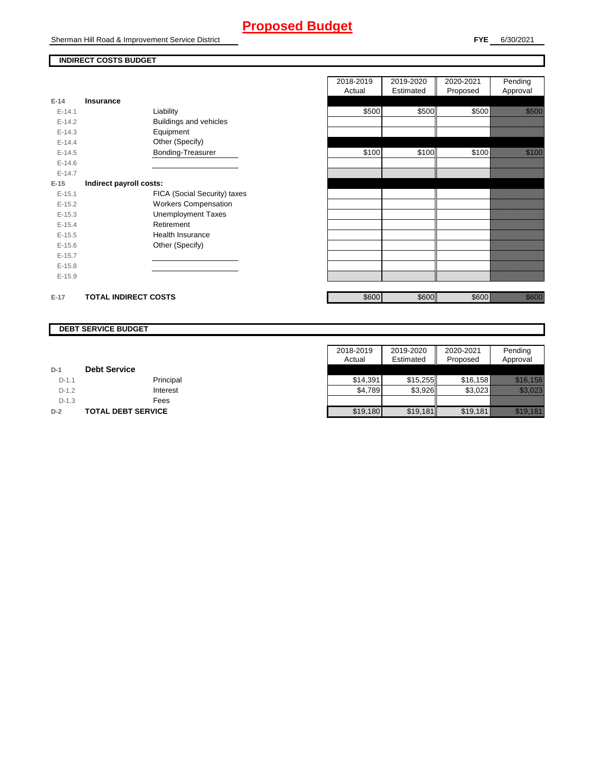# **Proposed Budget**

Sherman Hill Road & Improvement Service District

Pending Approval

2020-2021 Proposed

### **INDIRECT COSTS BUDGET**

|          |                              | 2018-2019<br>Actual | 2019-2020<br>Estimated | 2020-2021<br>Proposed | Pending<br>Approval |
|----------|------------------------------|---------------------|------------------------|-----------------------|---------------------|
| $E-14$   | <b>Insurance</b>             |                     |                        |                       |                     |
| $E-14.1$ | Liability                    | \$500               | \$500                  | \$500                 | <u>i ka</u>         |
| $E-14.2$ | Buildings and vehicles       |                     |                        |                       |                     |
| $E-14.3$ | Equipment                    |                     |                        |                       |                     |
| $E-14.4$ | Other (Specify)              |                     |                        |                       |                     |
| $E-14.5$ | Bonding-Treasurer            | \$100               | \$100                  | \$100                 | <u>ti ka</u>        |
| $E-14.6$ |                              |                     |                        |                       |                     |
| $E-14.7$ |                              |                     |                        |                       |                     |
| $E-15$   | Indirect payroll costs:      |                     |                        |                       |                     |
| $E-15.1$ | FICA (Social Security) taxes |                     |                        |                       |                     |
| $E-15.2$ | <b>Workers Compensation</b>  |                     |                        |                       |                     |
| $E-15.3$ | <b>Unemployment Taxes</b>    |                     |                        |                       |                     |
| $E-15.4$ | Retirement                   |                     |                        |                       |                     |
| $E-15.5$ | Health Insurance             |                     |                        |                       |                     |
| $E-15.6$ | Other (Specify)              |                     |                        |                       |                     |
| $E-15.7$ |                              |                     |                        |                       |                     |
| $E-15.8$ |                              |                     |                        |                       |                     |
| $E-15.9$ |                              |                     |                        |                       |                     |
| $E-17$   | <b>TOTAL INDIRECT COSTS</b>  | \$600               | \$600                  | \$600                 | a a an t-           |

#### **DEBT SERVICE BUDGET**

|         |                     | 2018-2019 | 2019-2020 | 2020-2021 | Pending              |
|---------|---------------------|-----------|-----------|-----------|----------------------|
|         |                     | Actual    | Estimated | Proposed  | Approval             |
| $D-1$   | <b>Debt Service</b> |           |           |           |                      |
| $D-1.1$ | Principal           | \$14.391  | \$15.255  | \$16.158  |                      |
| $D-1.2$ | Interest            | \$4.789   | \$3,926   | \$3,023   | USTER TAN            |
| $D-1.3$ | Fees                |           |           |           |                      |
| $D-2$   | TOTAL DEBT SERVICE  | \$19,180  | \$19,181  | \$19,181  | <u> Karlingan Sa</u> |